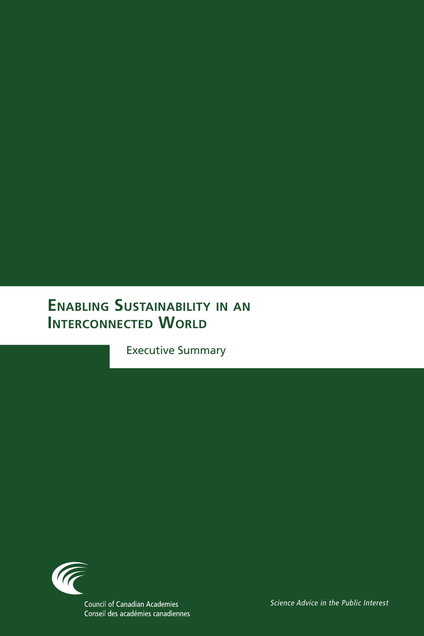# **Enabling Sustainability in an INTERCONNECTED WORLD**

Executive Summary

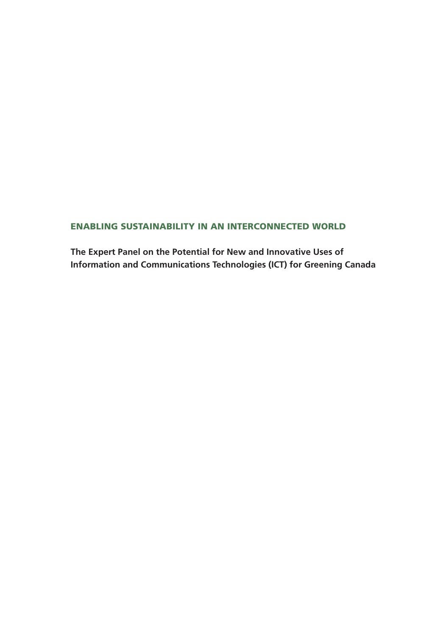## ENABLING SUSTAINABILITY IN AN INTERCONNECTED WORLD

**The Expert Panel on the Potential for New and Innovative Uses of Information and Communications Technologies (ICT) for Greening Canada**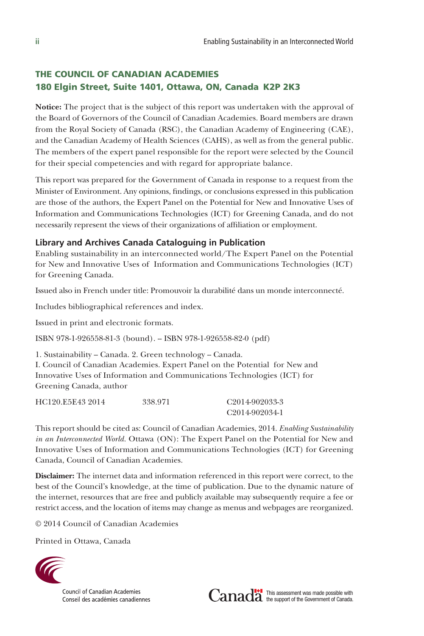## THE COUNCIL OF CANADIAN ACADEMIES 180 Elgin Street, Suite 1401, Ottawa, ON, Canada K2P 2K3

**Notice:** The project that is the subject of this report was undertaken with the approval of the Board of Governors of the Council of Canadian Academies. Board members are drawn from the Royal Society of Canada (RSC), the Canadian Academy of Engineering (CAE), and the Canadian Academy of Health Sciences (CAHS), as well as from the general public. The members of the expert panel responsible for the report were selected by the Council for their special competencies and with regard for appropriate balance.

This report was prepared for the Government of Canada in response to a request from the Minister of Environment. Any opinions, findings, or conclusions expressed in this publication are those of the authors, the Expert Panel on the Potential for New and Innovative Uses of Information and Communications Technologies (ICT) for Greening Canada, and do not necessarily represent the views of their organizations of affiliation or employment.

#### **Library and Archives Canada Cataloguing in Publication**

Enabling sustainability in an interconnected world/The Expert Panel on the Potential for New and Innovative Uses of Information and Communications Technologies (ICT) for Greening Canada.

Issued also in French under title: Promouvoir la durabilité dans un monde interconnecté.

Includes bibliographical references and index.

Issued in print and electronic formats.

ISBN 978-1-926558-81-3 (bound). -- ISBN 978-1-926558-82-0 (pdf)

1. Sustainability -- Canada. 2. Green technology -- Canada.

I. Council of Canadian Academies. Expert Panel on the Potential for New and Innovative Uses of Information and Communications Technologies (ICT) for Greening Canada, author

| HC120.E5E43 2014 | 338.971 | C <sub>2014-902033-3</sub> |
|------------------|---------|----------------------------|
|                  |         | C <sub>2014-902034-1</sub> |

This report should be cited as: Council of Canadian Academies, 2014. *Enabling Sustainability in an Interconnected World.* Ottawa (ON): The Expert Panel on the Potential for New and Innovative Uses of Information and Communications Technologies (ICT) for Greening Canada, Council of Canadian Academies.

**Disclaimer:** The internet data and information referenced in this report were correct, to the best of the Council's knowledge, at the time of publication. Due to the dynamic nature of the internet, resources that are free and publicly available may subsequently require a fee or restrict access, and the location of items may change as menus and webpages are reorganized.

© 2014 Council of Canadian Academies

Printed in Ottawa, Canada



Council of Canadian Academies Conseil des académies canadiennes

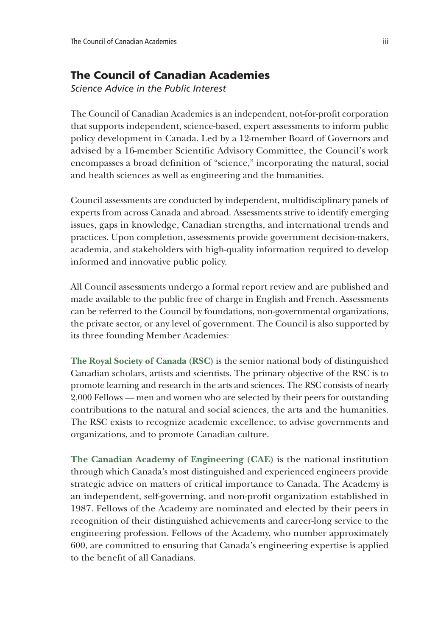## The Council of Canadian Academies

*Science Advice in the Public Interest*

The Council of Canadian Academies is an independent, not-for-profit corporation that supports independent, science-based, expert assessments to inform public policy development in Canada. Led by a 12-member Board of Governors and advised by a 16-member Scientific Advisory Committee, the Council's work encompasses a broad definition of "science," incorporating the natural, social and health sciences as well as engineering and the humanities.

Council assessments are conducted by independent, multidisciplinary panels of experts from across Canada and abroad. Assessments strive to identify emerging issues, gaps in knowledge, Canadian strengths, and international trends and practices. Upon completion, assessments provide government decision-makers, academia, and stakeholders with high-quality information required to develop informed and innovative public policy.

All Council assessments undergo a formal report review and are published and made available to the public free of charge in English and French. Assessments can be referred to the Council by foundations, non-governmental organizations, the private sector, or any level of government. The Council is also supported by its three founding Member Academies:

**The Royal Society of Canada (RSC)** is the senior national body of distinguished Canadian scholars, artists and scientists. The primary objective of the RSC is to promote learning and research in the arts and sciences. The RSC consists of nearly 2,000 Fellows — men and women who are selected by their peers for outstanding contributions to the natural and social sciences, the arts and the humanities. The RSC exists to recognize academic excellence, to advise governments and organizations, and to promote Canadian culture.

**The Canadian Academy of Engineering (CAE)** is the national institution through which Canada's most distinguished and experienced engineers provide strategic advice on matters of critical importance to Canada. The Academy is an independent, self-governing, and non-profit organization established in 1987. Fellows of the Academy are nominated and elected by their peers in recognition of their distinguished achievements and career-long service to the engineering profession. Fellows of the Academy, who number approximately 600, are committed to ensuring that Canada's engineering expertise is applied to the benefit of all Canadians.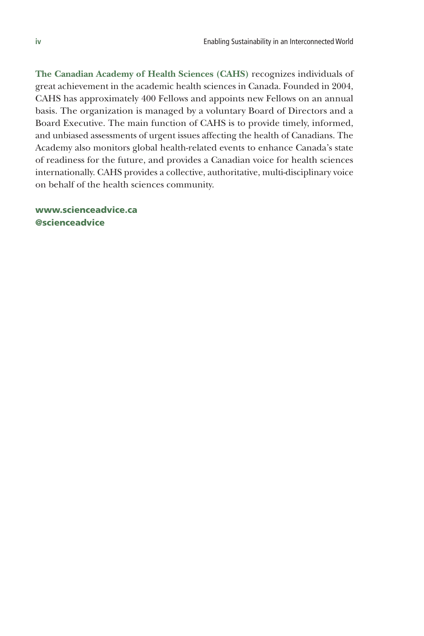**The Canadian Academy of Health Sciences (CAHS)** recognizes individuals of great achievement in the academic health sciences in Canada. Founded in 2004, CAHS has approximately 400 Fellows and appoints new Fellows on an annual basis. The organization is managed by a voluntary Board of Directors and a Board Executive. The main function of CAHS is to provide timely, informed, and unbiased assessments of urgent issues affecting the health of Canadians. The Academy also monitors global health-related events to enhance Canada's state of readiness for the future, and provides a Canadian voice for health sciences internationally. CAHS provides a collective, authoritative, multi-disciplinary voice on behalf of the health sciences community.

www.scienceadvice.ca @scienceadvice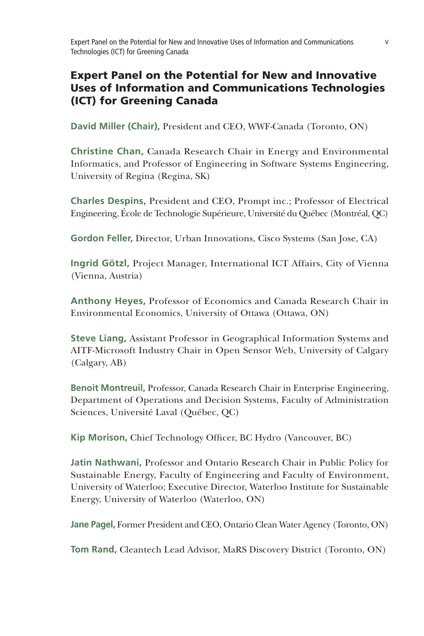## Expert Panel on the Potential for New and Innovative Uses of Information and Communications Technologies (ICT) for Greening Canada

**David Miller (Chair),** President and CEO, WWF-Canada (Toronto, ON)

**Christine Chan,** Canada Research Chair in Energy and Environmental Informatics, and Professor of Engineering in Software Systems Engineering, University of Regina (Regina, SK)

**Charles Despins,** President and CEO, Prompt inc.; Professor of Electrical Engineering, École de Technologie Supérieure, Université du Québec (Montréal, QC)

**Gordon Feller,** Director, Urban Innovations, Cisco Systems (San Jose, CA)

**Ingrid Götzl,** Project Manager, International ICT Affairs, City of Vienna (Vienna, Austria)

**Anthony Heyes,** Professor of Economics and Canada Research Chair in Environmental Economics, University of Ottawa (Ottawa, ON)

**Steve Liang,** Assistant Professor in Geographical Information Systems and AITF-Microsoft Industry Chair in Open Sensor Web, University of Calgary (Calgary, AB)

**Benoit Montreuil,** Professor, Canada Research Chair in Enterprise Engineering, Department of Operations and Decision Systems, Faculty of Administration Sciences, Université Laval (Québec, QC)

**Kip Morison,** Chief Technology Officer, BC Hydro (Vancouver, BC)

**Jatin Nathwani,** Professor and Ontario Research Chair in Public Policy for Sustainable Energy, Faculty of Engineering and Faculty of Environment, University of Waterloo; Executive Director, Waterloo Institute for Sustainable Energy, University of Waterloo (Waterloo, ON)

**Jane Pagel,** Former President and CEO, Ontario Clean Water Agency (Toronto, ON)

**Tom Rand,** Cleantech Lead Advisor, MaRS Discovery District (Toronto, ON)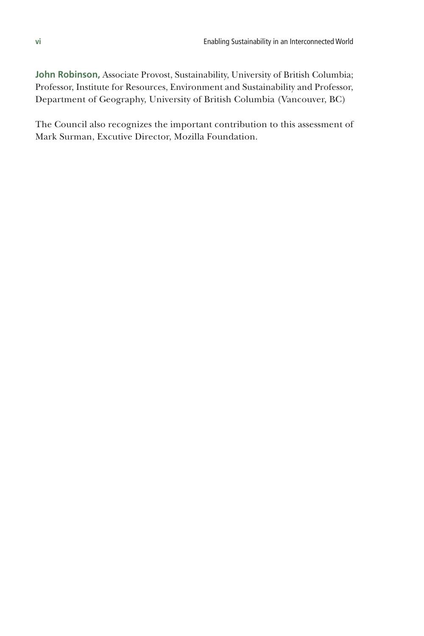**John Robinson,** Associate Provost, Sustainability, University of British Columbia; Professor, Institute for Resources, Environment and Sustainability and Professor, Department of Geography, University of British Columbia (Vancouver, BC)

The Council also recognizes the important contribution to this assessment of Mark Surman, Excutive Director, Mozilla Foundation.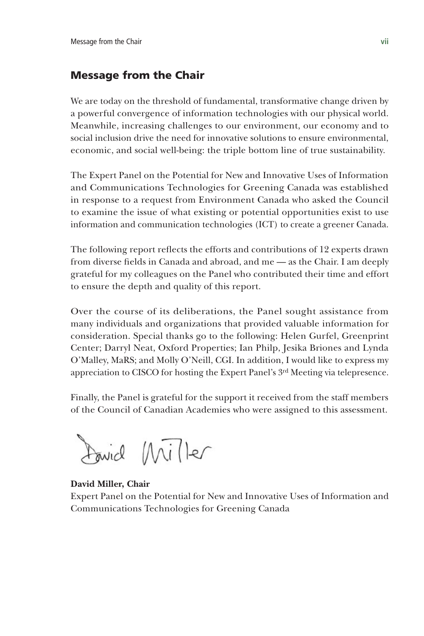## Message from the Chair

We are today on the threshold of fundamental, transformative change driven by a powerful convergence of information technologies with our physical world. Meanwhile, increasing challenges to our environment, our economy and to social inclusion drive the need for innovative solutions to ensure environmental, economic, and social well-being: the triple bottom line of true sustainability.

The Expert Panel on the Potential for New and Innovative Uses of Information and Communications Technologies for Greening Canada was established in response to a request from Environment Canada who asked the Council to examine the issue of what existing or potential opportunities exist to use information and communication technologies (ICT) to create a greener Canada.

The following report reflects the efforts and contributions of 12 experts drawn from diverse fields in Canada and abroad, and me — as the Chair. I am deeply grateful for my colleagues on the Panel who contributed their time and effort to ensure the depth and quality of this report.

Over the course of its deliberations, the Panel sought assistance from many individuals and organizations that provided valuable information for consideration. Special thanks go to the following: Helen Gurfel, Greenprint Center; Darryl Neat, Oxford Properties; Ian Philp, Jesika Briones and Lynda O'Malley, MaRS; and Molly O'Neill, CGI. In addition, I would like to express my appreciation to CISCO for hosting the Expert Panel's 3rd Meeting via telepresence.

Finally, the Panel is grateful for the support it received from the staff members of the Council of Canadian Academies who were assigned to this assessment.

Found Miller

#### **David Miller, Chair**

Expert Panel on the Potential for New and Innovative Uses of Information and Communications Technologies for Greening Canada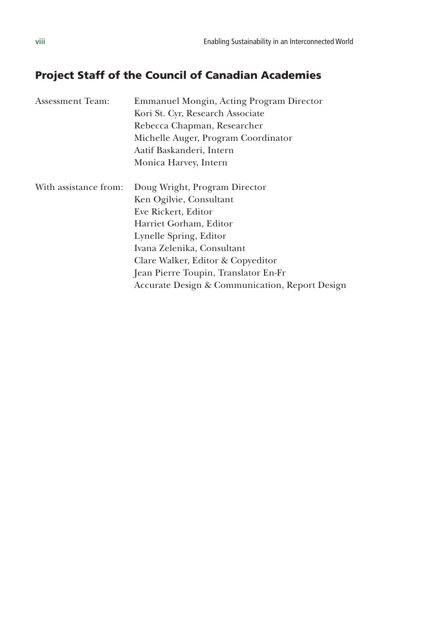## Project Staff of the Council of Canadian Academies

| Assessment Team:      | Emmanuel Mongin, Acting Program Director       |  |
|-----------------------|------------------------------------------------|--|
|                       | Kori St. Cyr, Research Associate               |  |
|                       | Rebecca Chapman, Researcher                    |  |
|                       | Michelle Auger, Program Coordinator            |  |
|                       | Aatif Baskanderi, Intern                       |  |
|                       | Monica Harvey, Intern                          |  |
| With assistance from: | Doug Wright, Program Director                  |  |
|                       | Ken Ogilvie, Consultant                        |  |
|                       | Eve Rickert, Editor                            |  |
|                       | Harriet Gorham, Editor                         |  |
|                       | Lynelle Spring, Editor                         |  |
|                       | Ivana Zelenika, Consultant                     |  |
|                       | Clare Walker, Editor & Copyeditor              |  |
|                       | Jean Pierre Toupin, Translator En-Fr           |  |
|                       | Accurate Design & Communication, Report Design |  |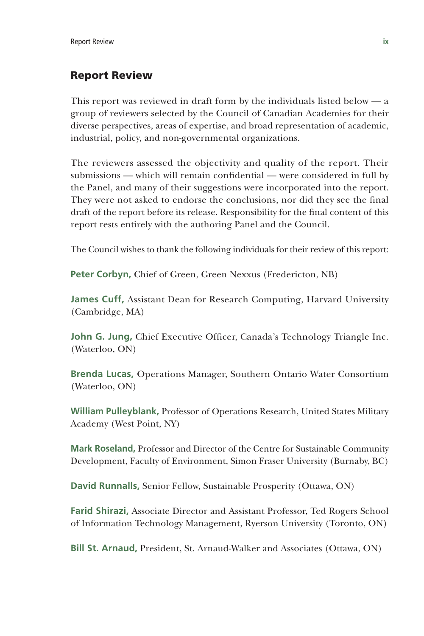## Report Review

This report was reviewed in draft form by the individuals listed below — a group of reviewers selected by the Council of Canadian Academies for their diverse perspectives, areas of expertise, and broad representation of academic, industrial, policy, and non-governmental organizations.

The reviewers assessed the objectivity and quality of the report. Their submissions — which will remain confidential — were considered in full by the Panel, and many of their suggestions were incorporated into the report. They were not asked to endorse the conclusions, nor did they see the final draft of the report before its release. Responsibility for the final content of this report rests entirely with the authoring Panel and the Council.

The Council wishes to thank the following individuals for their review of this report:

**Peter Corbyn,** Chief of Green, Green Nexxus (Fredericton, NB)

**James Cuff,** Assistant Dean for Research Computing, Harvard University (Cambridge, MA)

**John G. Jung,** Chief Executive Officer, Canada's Technology Triangle Inc. (Waterloo, ON)

**Brenda Lucas,** Operations Manager, Southern Ontario Water Consortium (Waterloo, ON)

**William Pulleyblank,** Professor of Operations Research, United States Military Academy (West Point, NY)

**Mark Roseland,** Professor and Director of the Centre for Sustainable Community Development, Faculty of Environment, Simon Fraser University (Burnaby, BC)

**David Runnalls,** Senior Fellow, Sustainable Prosperity (Ottawa, ON)

**Farid Shirazi,** Associate Director and Assistant Professor, Ted Rogers School of Information Technology Management, Ryerson University (Toronto, ON)

**Bill St. Arnaud,** President, St. Arnaud-Walker and Associates (Ottawa, ON)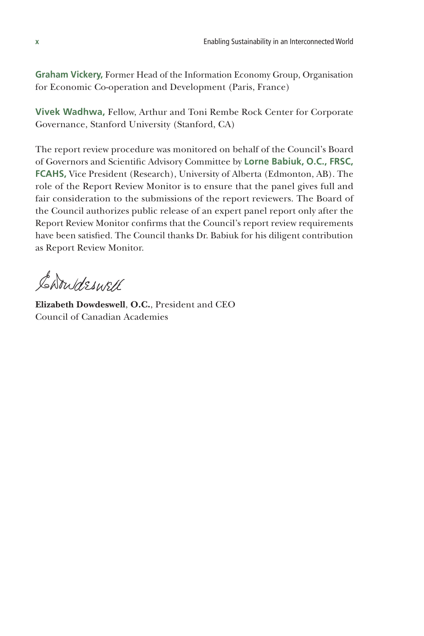**Graham Vickery,** Former Head of the Information Economy Group, Organisation for Economic Co-operation and Development (Paris, France)

**Vivek Wadhwa,** Fellow, Arthur and Toni Rembe Rock Center for Corporate Governance, Stanford University (Stanford, CA)

The report review procedure was monitored on behalf of the Council's Board of Governors and Scientific Advisory Committee by **Lorne Babiuk, O.C., FRSC, FCAHS,** Vice President (Research), University of Alberta (Edmonton, AB). The role of the Report Review Monitor is to ensure that the panel gives full and fair consideration to the submissions of the report reviewers. The Board of the Council authorizes public release of an expert panel report only after the Report Review Monitor confirms that the Council's report review requirements have been satisfied. The Council thanks Dr. Babiuk for his diligent contribution as Report Review Monitor.

Carrideswell

**Elizabeth Dowdeswell**, **O.C.**, President and CEO Council of Canadian Academies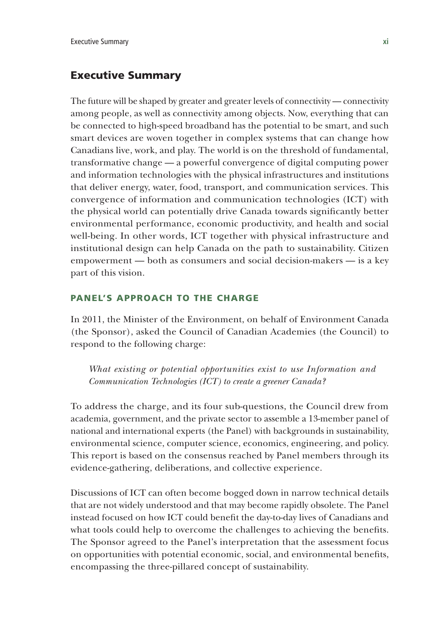## Executive Summary

The future will be shaped by greater and greater levels of connectivity — connectivity among people, as well as connectivity among objects. Now, everything that can be connected to high-speed broadband has the potential to be smart, and such smart devices are woven together in complex systems that can change how Canadians live, work, and play. The world is on the threshold of fundamental, transformative change — a powerful convergence of digital computing power and information technologies with the physical infrastructures and institutions that deliver energy, water, food, transport, and communication services. This convergence of information and communication technologies (ICT) with the physical world can potentially drive Canada towards significantly better environmental performance, economic productivity, and health and social well-being. In other words, ICT together with physical infrastructure and institutional design can help Canada on the path to sustainability. Citizen empowerment — both as consumers and social decision-makers — is a key part of this vision.

## PANEL'S APPROACH TO THE CHARGE

In 2011, the Minister of the Environment, on behalf of Environment Canada (the Sponsor), asked the Council of Canadian Academies (the Council) to respond to the following charge:

*What existing or potential opportunities exist to use Information and Communication Technologies (ICT) to create a greener Canada?*

To address the charge, and its four sub-questions, the Council drew from academia, government, and the private sector to assemble a 13-member panel of national and international experts (the Panel) with backgrounds in sustainability, environmental science, computer science, economics, engineering, and policy. This report is based on the consensus reached by Panel members through its evidence-gathering, deliberations, and collective experience.

Discussions of ICT can often become bogged down in narrow technical details that are not widely understood and that may become rapidly obsolete. The Panel instead focused on how ICT could benefit the day-to-day lives of Canadians and what tools could help to overcome the challenges to achieving the benefits. The Sponsor agreed to the Panel's interpretation that the assessment focus on opportunities with potential economic, social, and environmental benefits, encompassing the three-pillared concept of sustainability.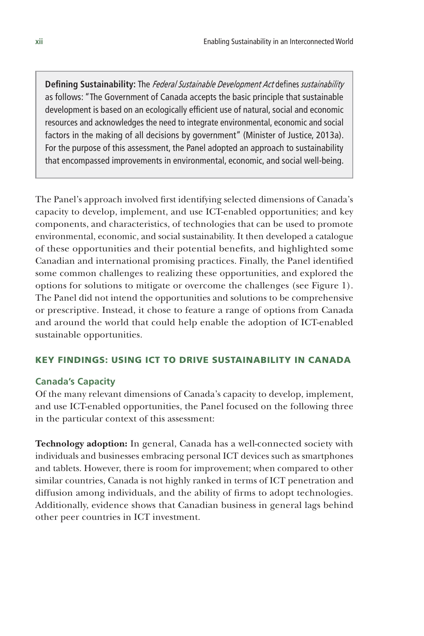**Defining Sustainability:** The *Federal Sustainable Development Act* defines *sustainability* as follows: "The Government of Canada accepts the basic principle that sustainable development is based on an ecologically efficient use of natural, social and economic resources and acknowledges the need to integrate environmental, economic and social factors in the making of all decisions by government" (Minister of Justice, 2013a). For the purpose of this assessment, the Panel adopted an approach to sustainability that encompassed improvements in environmental, economic, and social well-being.

The Panel's approach involved first identifying selected dimensions of Canada's capacity to develop, implement, and use ICT-enabled opportunities; and key components, and characteristics, of technologies that can be used to promote environmental, economic, and social sustainability. It then developed a catalogue of these opportunities and their potential benefits, and highlighted some Canadian and international promising practices. Finally, the Panel identified some common challenges to realizing these opportunities, and explored the options for solutions to mitigate or overcome the challenges (see Figure 1). The Panel did not intend the opportunities and solutions to be comprehensive or prescriptive. Instead, it chose to feature a range of options from Canada and around the world that could help enable the adoption of ICT-enabled sustainable opportunities.

#### KEY FINDINGS: USING ICT TO DRIVE SUSTAINABILITY IN CANADA

#### **Canada's Capacity**

Of the many relevant dimensions of Canada's capacity to develop, implement, and use ICT-enabled opportunities, the Panel focused on the following three in the particular context of this assessment:

**Technology adoption:** In general, Canada has a well-connected society with individuals and businesses embracing personal ICT devices such as smartphones and tablets. However, there is room for improvement; when compared to other similar countries, Canada is not highly ranked in terms of ICT penetration and diffusion among individuals, and the ability of firms to adopt technologies. Additionally, evidence shows that Canadian business in general lags behind other peer countries in ICT investment.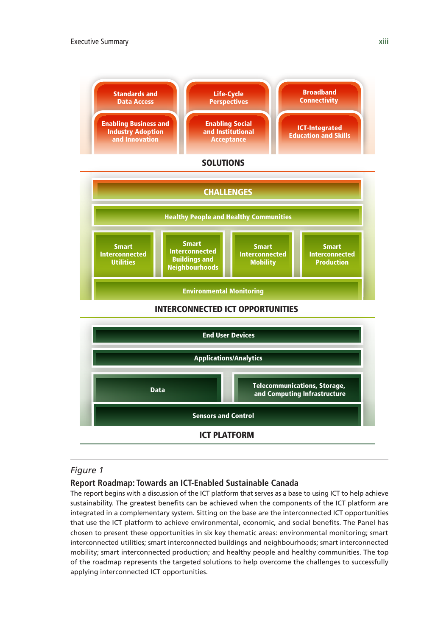



#### *Figure 1*

#### **Report Roadmap: Towards an ICT-Enabled Sustainable Canada**

The report begins with a discussion of the ICT platform that serves as a base to using ICT to help achieve sustainability. The greatest benefits can be achieved when the components of the ICT platform are integrated in a complementary system. Sitting on the base are the interconnected ICT opportunities that use the ICT platform to achieve environmental, economic, and social benefits. The Panel has chosen to present these opportunities in six key thematic areas: environmental monitoring; smart interconnected utilities; smart interconnected buildings and neighbourhoods; smart interconnected mobility; smart interconnected production; and healthy people and healthy communities. The top of the roadmap represents the targeted solutions to help overcome the challenges to successfully applying interconnected ICT opportunities.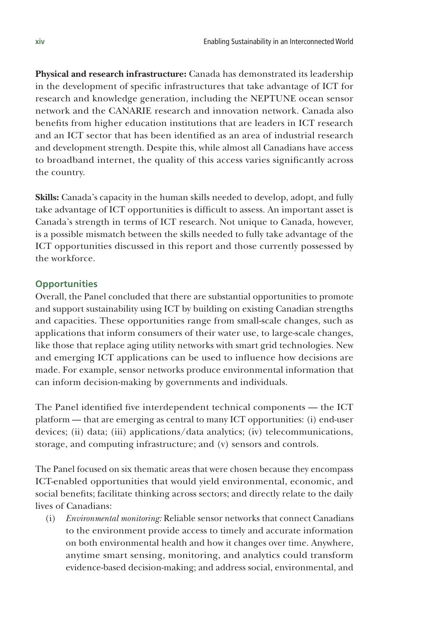**Physical and research infrastructure:** Canada has demonstrated its leadership in the development of specific infrastructures that take advantage of ICT for research and knowledge generation, including the NEPTUNE ocean sensor network and the CANARIE research and innovation network. Canada also benefits from higher education institutions that are leaders in ICT research and an ICT sector that has been identified as an area of industrial research and development strength. Despite this, while almost all Canadians have access to broadband internet, the quality of this access varies significantly across the country.

**Skills:** Canada's capacity in the human skills needed to develop, adopt, and fully take advantage of ICT opportunities is difficult to assess. An important asset is Canada's strength in terms of ICT research. Not unique to Canada, however, is a possible mismatch between the skills needed to fully take advantage of the ICT opportunities discussed in this report and those currently possessed by the workforce.

#### **Opportunities**

Overall, the Panel concluded that there are substantial opportunities to promote and support sustainability using ICT by building on existing Canadian strengths and capacities. These opportunities range from small-scale changes, such as applications that inform consumers of their water use, to large-scale changes, like those that replace aging utility networks with smart grid technologies. New and emerging ICT applications can be used to influence how decisions are made. For example, sensor networks produce environmental information that can inform decision-making by governments and individuals.

The Panel identified five interdependent technical components — the ICT platform — that are emerging as central to many ICT opportunities: (i) end-user devices; (ii) data; (iii) applications/data analytics; (iv) telecommunications, storage, and computing infrastructure; and (v) sensors and controls.

The Panel focused on six thematic areas that were chosen because they encompass ICT-enabled opportunities that would yield environmental, economic, and social benefits; facilitate thinking across sectors; and directly relate to the daily lives of Canadians:

(i) *Environmental monitoring:* Reliable sensor networks that connect Canadians to the environment provide access to timely and accurate information on both environmental health and how it changes over time. Anywhere, anytime smart sensing, monitoring, and analytics could transform evidence-based decision-making; and address social, environmental, and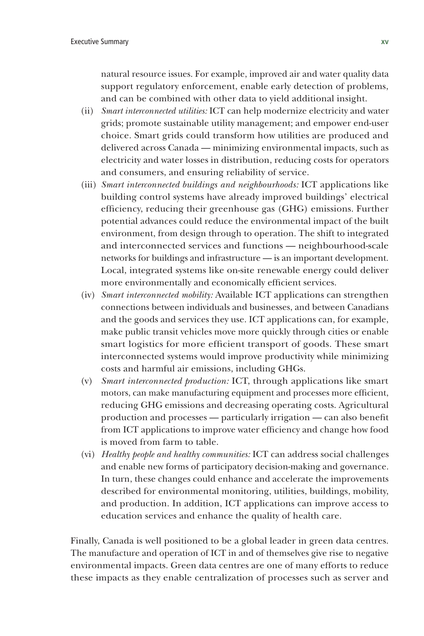natural resource issues. For example, improved air and water quality data support regulatory enforcement, enable early detection of problems, and can be combined with other data to yield additional insight.

- (ii) *Smart interconnected utilities:* ICT can help modernize electricity and water grids; promote sustainable utility management; and empower end-user choice. Smart grids could transform how utilities are produced and delivered across Canada — minimizing environmental impacts, such as electricity and water losses in distribution, reducing costs for operators and consumers, and ensuring reliability of service.
- (iii) *Smart interconnected buildings and neighbourhoods:* ICT applications like building control systems have already improved buildings' electrical efficiency, reducing their greenhouse gas (GHG) emissions. Further potential advances could reduce the environmental impact of the built environment, from design through to operation. The shift to integrated and interconnected services and functions — neighbourhood-scale networks for buildings and infrastructure — is an important development. Local, integrated systems like on-site renewable energy could deliver more environmentally and economically efficient services.
- (iv) *Smart interconnected mobility:* Available ICT applications can strengthen connections between individuals and businesses, and between Canadians and the goods and services they use. ICT applications can, for example, make public transit vehicles move more quickly through cities or enable smart logistics for more efficient transport of goods. These smart interconnected systems would improve productivity while minimizing costs and harmful air emissions, including GHGs.
- (v) *Smart interconnected production:* ICT, through applications like smart motors, can make manufacturing equipment and processes more efficient, reducing GHG emissions and decreasing operating costs. Agricultural production and processes — particularly irrigation — can also benefit from ICT applications to improve water efficiency and change how food is moved from farm to table.
- (vi) *Healthy people and healthy communities:* ICT can address social challenges and enable new forms of participatory decision-making and governance. In turn, these changes could enhance and accelerate the improvements described for environmental monitoring, utilities, buildings, mobility, and production. In addition, ICT applications can improve access to education services and enhance the quality of health care.

Finally, Canada is well positioned to be a global leader in green data centres. The manufacture and operation of ICT in and of themselves give rise to negative environmental impacts. Green data centres are one of many efforts to reduce these impacts as they enable centralization of processes such as server and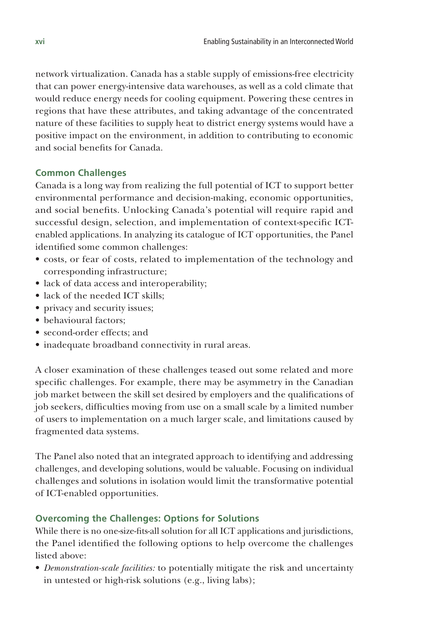network virtualization. Canada has a stable supply of emissions-free electricity that can power energy-intensive data warehouses, as well as a cold climate that would reduce energy needs for cooling equipment. Powering these centres in regions that have these attributes, and taking advantage of the concentrated nature of these facilities to supply heat to district energy systems would have a positive impact on the environment, in addition to contributing to economic and social benefits for Canada.

## **Common Challenges**

Canada is a long way from realizing the full potential of ICT to support better environmental performance and decision-making, economic opportunities, and social benefits. Unlocking Canada's potential will require rapid and successful design, selection, and implementation of context-specific ICTenabled applications. In analyzing its catalogue of ICT opportunities, the Panel identified some common challenges:

- costs, or fear of costs, related to implementation of the technology and corresponding infrastructure;
- lack of data access and interoperability;
- lack of the needed ICT skills;
- privacy and security issues;
- behavioural factors;
- second-order effects; and
- inadequate broadband connectivity in rural areas.

A closer examination of these challenges teased out some related and more specific challenges. For example, there may be asymmetry in the Canadian job market between the skill set desired by employers and the qualifications of job seekers, difficulties moving from use on a small scale by a limited number of users to implementation on a much larger scale, and limitations caused by fragmented data systems.

The Panel also noted that an integrated approach to identifying and addressing challenges, and developing solutions, would be valuable. Focusing on individual challenges and solutions in isolation would limit the transformative potential of ICT-enabled opportunities.

## **Overcoming the Challenges: Options for Solutions**

While there is no one-size-fits-all solution for all ICT applications and jurisdictions, the Panel identified the following options to help overcome the challenges listed above:

• *Demonstration-scale facilities:* to potentially mitigate the risk and uncertainty in untested or high-risk solutions (e.g., living labs);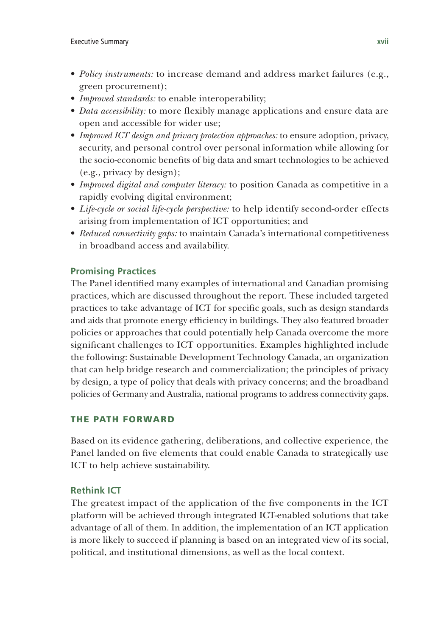- *Policy instruments:* to increase demand and address market failures (e.g., green procurement);
- *Improved standards:* to enable interoperability;
- *Data accessibility:* to more flexibly manage applications and ensure data are open and accessible for wider use;
- *Improved ICT design and privacy protection approaches:* to ensure adoption, privacy, security, and personal control over personal information while allowing for the socio-economic benefits of big data and smart technologies to be achieved (e.g., privacy by design);
- *Improved digital and computer literacy:* to position Canada as competitive in a rapidly evolving digital environment;
- *Life-cycle or social life-cycle perspective:* to help identify second-order effects arising from implementation of ICT opportunities; and
- *Reduced connectivity gaps:* to maintain Canada's international competitiveness in broadband access and availability.

## **Promising Practices**

The Panel identified many examples of international and Canadian promising practices, which are discussed throughout the report. These included targeted practices to take advantage of ICT for specific goals, such as design standards and aids that promote energy efficiency in buildings. They also featured broader policies or approaches that could potentially help Canada overcome the more significant challenges to ICT opportunities. Examples highlighted include the following: Sustainable Development Technology Canada, an organization that can help bridge research and commercialization; the principles of privacy by design, a type of policy that deals with privacy concerns; and the broadband policies of Germany and Australia, national programs to address connectivity gaps.

## THE PATH FORWARD

Based on its evidence gathering, deliberations, and collective experience, the Panel landed on five elements that could enable Canada to strategically use ICT to help achieve sustainability.

## **Rethink ICT**

The greatest impact of the application of the five components in the ICT platform will be achieved through integrated ICT-enabled solutions that take advantage of all of them. In addition, the implementation of an ICT application is more likely to succeed if planning is based on an integrated view of its social, political, and institutional dimensions, as well as the local context.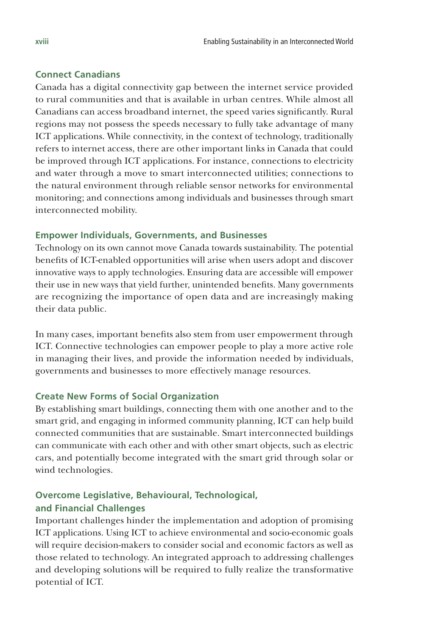## **Connect Canadians**

Canada has a digital connectivity gap between the internet service provided to rural communities and that is available in urban centres. While almost all Canadians can access broadband internet, the speed varies significantly. Rural regions may not possess the speeds necessary to fully take advantage of many ICT applications. While connectivity, in the context of technology, traditionally refers to internet access, there are other important links in Canada that could be improved through ICT applications. For instance, connections to electricity and water through a move to smart interconnected utilities; connections to the natural environment through reliable sensor networks for environmental monitoring; and connections among individuals and businesses through smart interconnected mobility.

#### **Empower Individuals, Governments, and Businesses**

Technology on its own cannot move Canada towards sustainability. The potential benefits of ICT-enabled opportunities will arise when users adopt and discover innovative ways to apply technologies. Ensuring data are accessible will empower their use in new ways that yield further, unintended benefits. Many governments are recognizing the importance of open data and are increasingly making their data public.

In many cases, important benefits also stem from user empowerment through ICT. Connective technologies can empower people to play a more active role in managing their lives, and provide the information needed by individuals, governments and businesses to more effectively manage resources.

#### **Create New Forms of Social Organization**

By establishing smart buildings, connecting them with one another and to the smart grid, and engaging in informed community planning, ICT can help build connected communities that are sustainable. Smart interconnected buildings can communicate with each other and with other smart objects, such as electric cars, and potentially become integrated with the smart grid through solar or wind technologies.

## **Overcome Legislative, Behavioural, Technological, and Financial Challenges**

Important challenges hinder the implementation and adoption of promising ICT applications. Using ICT to achieve environmental and socio-economic goals will require decision-makers to consider social and economic factors as well as those related to technology. An integrated approach to addressing challenges and developing solutions will be required to fully realize the transformative potential of ICT.